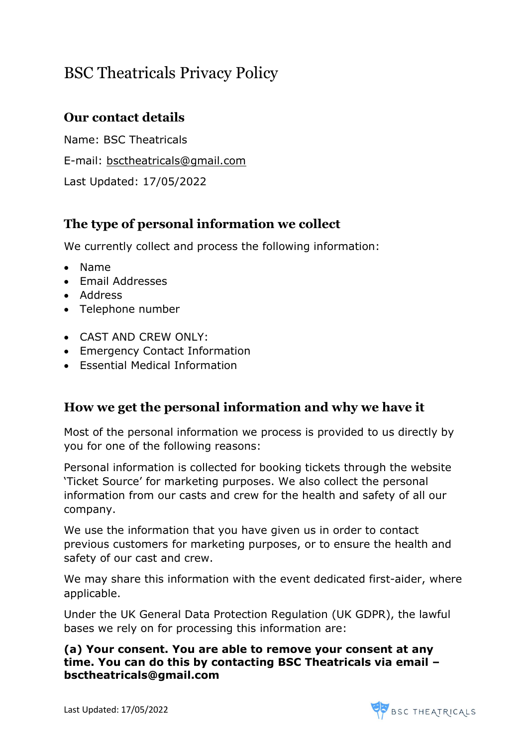# BSC Theatricals Privacy Policy

## Our contact details

Name: BSC Theatricals E-mail: bsctheatricals@gmail.com Last Updated: 17/05/2022

## The type of personal information we collect

We currently collect and process the following information:

- Name
- Fmail Addresses
- Address
- Telephone number
- CAST AND CREW ONLY:
- Emergency Contact Information
- Essential Medical Information

### How we get the personal information and why we have it

Most of the personal information we process is provided to us directly by you for one of the following reasons:

Personal information is collected for booking tickets through the website 'Ticket Source' for marketing purposes. We also collect the personal information from our casts and crew for the health and safety of all our company.

We use the information that you have given us in order to contact previous customers for marketing purposes, or to ensure the health and safety of our cast and crew.

We may share this information with the event dedicated first-aider, where applicable.

Under the UK General Data Protection Regulation (UK GDPR), the lawful bases we rely on for processing this information are:

#### (a) Your consent. You are able to remove your consent at any time. You can do this by contacting BSC Theatricals via email – bsctheatricals@gmail.com

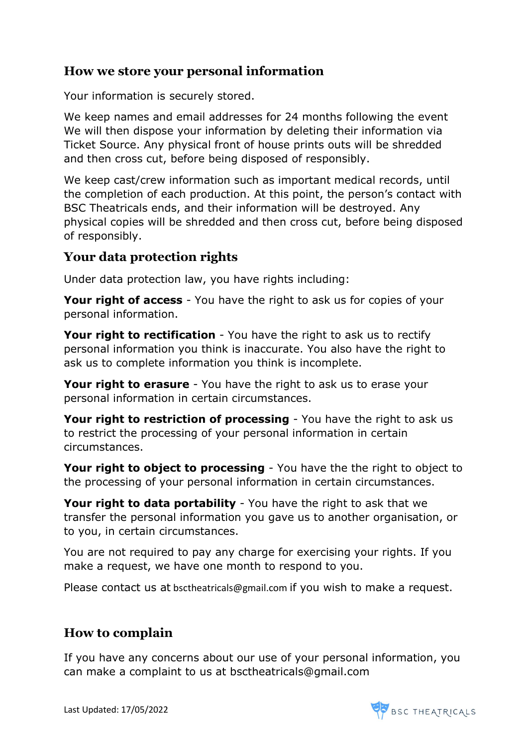### How we store your personal information

Your information is securely stored.

We keep names and email addresses for 24 months following the event We will then dispose your information by deleting their information via Ticket Source. Any physical front of house prints outs will be shredded and then cross cut, before being disposed of responsibly.

We keep cast/crew information such as important medical records, until the completion of each production. At this point, the person's contact with BSC Theatricals ends, and their information will be destroyed. Any physical copies will be shredded and then cross cut, before being disposed of responsibly.

### Your data protection rights

Under data protection law, you have rights including:

Your right of access - You have the right to ask us for copies of your personal information.

Your right to rectification - You have the right to ask us to rectify personal information you think is inaccurate. You also have the right to ask us to complete information you think is incomplete.

Your right to erasure - You have the right to ask us to erase your personal information in certain circumstances.

Your right to restriction of processing - You have the right to ask us to restrict the processing of your personal information in certain circumstances.

**Your right to object to processing** - You have the the right to object to the processing of your personal information in certain circumstances.

Your right to data portability - You have the right to ask that we transfer the personal information you gave us to another organisation, or to you, in certain circumstances.

You are not required to pay any charge for exercising your rights. If you make a request, we have one month to respond to you.

Please contact us at bsctheatricals@gmail.com if you wish to make a request.

### How to complain

If you have any concerns about our use of your personal information, you can make a complaint to us at bsctheatricals@gmail.com